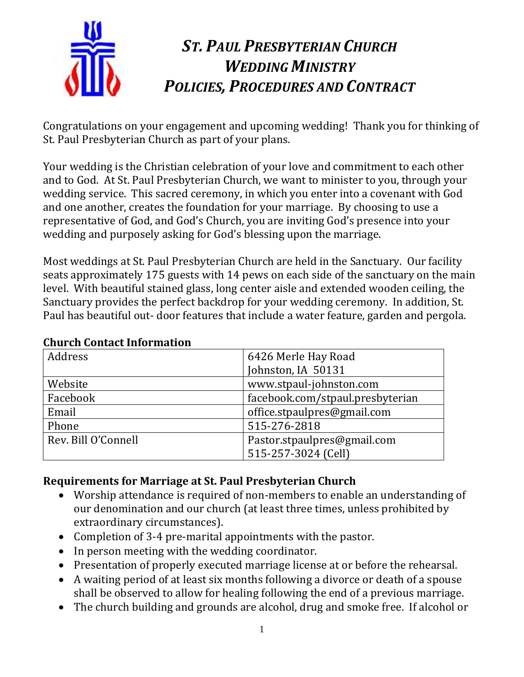

# *ST. PAUL PRESBYTERIAN CHURCH WEDDING MINISTRY POLICIES, PROCEDURES AND CONTRACT*

Congratulations on your engagement and upcoming wedding! Thank you for thinking of St. Paul Presbyterian Church as part of your plans.

Your wedding is the Christian celebration of your love and commitment to each other and to God. At St. Paul Presbyterian Church, we want to minister to you, through your wedding service. This sacred ceremony, in which you enter into a covenant with God and one another, creates the foundation for your marriage. By choosing to use a representative of God, and God's Church, you are inviting God's presence into your wedding and purposely asking for God's blessing upon the marriage.

Most weddings at St. Paul Presbyterian Church are held in the Sanctuary. Our facility seats approximately 175 guests with 14 pews on each side of the sanctuary on the main level. With beautiful stained glass, long center aisle and extended wooden ceiling, the Sanctuary provides the perfect backdrop for your wedding ceremony. In addition, St. Paul has beautiful out- door features that include a water feature, garden and pergola.

| Address             | 6426 Merle Hay Road              |
|---------------------|----------------------------------|
|                     | Johnston, IA 50131               |
| Website             | www.stpaul-johnston.com          |
| Facebook            | facebook.com/stpaul.presbyterian |
| Email               | office.stpaulpres@gmail.com      |
| Phone               | 515-276-2818                     |
| Rev. Bill O'Connell | Pastor.stpaulpres@gmail.com      |
|                     | 515-257-3024 (Cell)              |

## **Church Contact Information**

## **Requirements for Marriage at St. Paul Presbyterian Church**

- Worship attendance is required of non-members to enable an understanding of our denomination and our church (at least three times, unless prohibited by extraordinary circumstances).
- Completion of 3-4 pre-marital appointments with the pastor.
- In person meeting with the wedding coordinator.
- Presentation of properly executed marriage license at or before the rehearsal.
- A waiting period of at least six months following a divorce or death of a spouse shall be observed to allow for healing following the end of a previous marriage.
- The church building and grounds are alcohol, drug and smoke free. If alcohol or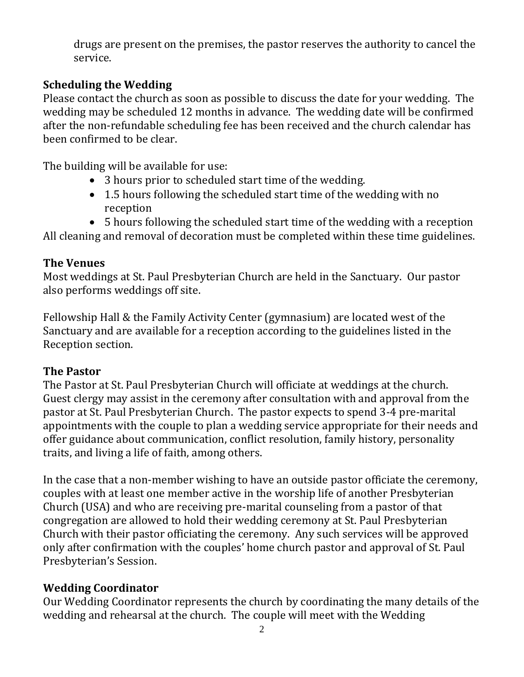drugs are present on the premises, the pastor reserves the authority to cancel the service.

### **Scheduling the Wedding**

Please contact the church as soon as possible to discuss the date for your wedding. The wedding may be scheduled 12 months in advance. The wedding date will be confirmed after the non-refundable scheduling fee has been received and the church calendar has been confirmed to be clear.

The building will be available for use:

- 3 hours prior to scheduled start time of the wedding.
- 1.5 hours following the scheduled start time of the wedding with no reception
- 5 hours following the scheduled start time of the wedding with a reception

All cleaning and removal of decoration must be completed within these time guidelines.

## **The Venues**

Most weddings at St. Paul Presbyterian Church are held in the Sanctuary. Our pastor also performs weddings off site.

Fellowship Hall & the Family Activity Center (gymnasium) are located west of the Sanctuary and are available for a reception according to the guidelines listed in the Reception section.

## **The Pastor**

The Pastor at St. Paul Presbyterian Church will officiate at weddings at the church. Guest clergy may assist in the ceremony after consultation with and approval from the pastor at St. Paul Presbyterian Church. The pastor expects to spend 3-4 pre-marital appointments with the couple to plan a wedding service appropriate for their needs and offer guidance about communication, conflict resolution, family history, personality traits, and living a life of faith, among others.

In the case that a non-member wishing to have an outside pastor officiate the ceremony, couples with at least one member active in the worship life of another Presbyterian Church (USA) and who are receiving pre-marital counseling from a pastor of that congregation are allowed to hold their wedding ceremony at St. Paul Presbyterian Church with their pastor officiating the ceremony. Any such services will be approved only after confirmation with the couples' home church pastor and approval of St. Paul Presbyterian's Session.

## **Wedding Coordinator**

Our Wedding Coordinator represents the church by coordinating the many details of the wedding and rehearsal at the church. The couple will meet with the Wedding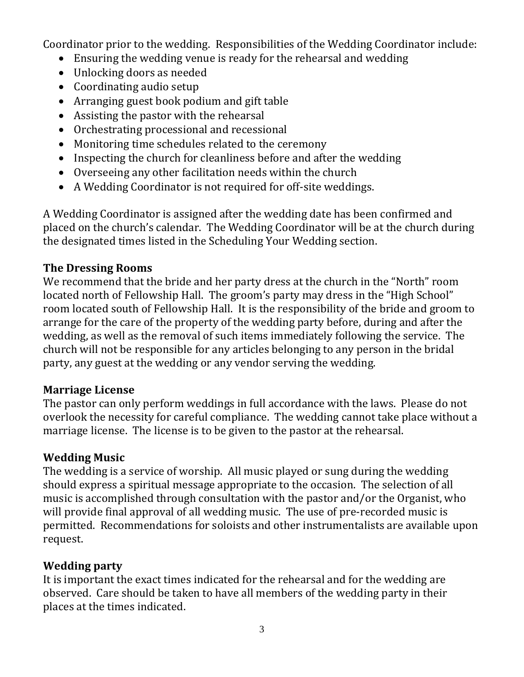Coordinator prior to the wedding. Responsibilities of the Wedding Coordinator include:

- Ensuring the wedding venue is ready for the rehearsal and wedding
- Unlocking doors as needed
- Coordinating audio setup
- Arranging guest book podium and gift table
- Assisting the pastor with the rehearsal
- Orchestrating processional and recessional
- Monitoring time schedules related to the ceremony
- Inspecting the church for cleanliness before and after the wedding
- Overseeing any other facilitation needs within the church
- A Wedding Coordinator is not required for off-site weddings.

A Wedding Coordinator is assigned after the wedding date has been confirmed and placed on the church's calendar. The Wedding Coordinator will be at the church during the designated times listed in the Scheduling Your Wedding section.

#### **The Dressing Rooms**

We recommend that the bride and her party dress at the church in the "North" room located north of Fellowship Hall. The groom's party may dress in the "High School" room located south of Fellowship Hall. It is the responsibility of the bride and groom to arrange for the care of the property of the wedding party before, during and after the wedding, as well as the removal of such items immediately following the service. The church will not be responsible for any articles belonging to any person in the bridal party, any guest at the wedding or any vendor serving the wedding.

#### **Marriage License**

The pastor can only perform weddings in full accordance with the laws. Please do not overlook the necessity for careful compliance. The wedding cannot take place without a marriage license. The license is to be given to the pastor at the rehearsal.

## **Wedding Music**

The wedding is a service of worship. All music played or sung during the wedding should express a spiritual message appropriate to the occasion. The selection of all music is accomplished through consultation with the pastor and/or the Organist, who will provide final approval of all wedding music. The use of pre-recorded music is permitted. Recommendations for soloists and other instrumentalists are available upon request.

## **Wedding party**

It is important the exact times indicated for the rehearsal and for the wedding are observed. Care should be taken to have all members of the wedding party in their places at the times indicated.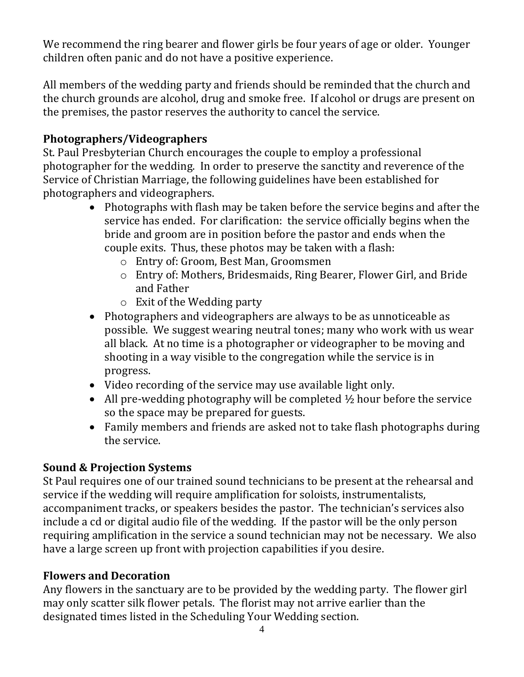We recommend the ring bearer and flower girls be four years of age or older. Younger children often panic and do not have a positive experience.

All members of the wedding party and friends should be reminded that the church and the church grounds are alcohol, drug and smoke free. If alcohol or drugs are present on the premises, the pastor reserves the authority to cancel the service.

## **Photographers/Videographers**

St. Paul Presbyterian Church encourages the couple to employ a professional photographer for the wedding. In order to preserve the sanctity and reverence of the Service of Christian Marriage, the following guidelines have been established for photographers and videographers.

- Photographs with flash may be taken before the service begins and after the service has ended. For clarification: the service officially begins when the bride and groom are in position before the pastor and ends when the couple exits. Thus, these photos may be taken with a flash:
	- o Entry of: Groom, Best Man, Groomsmen
	- o Entry of: Mothers, Bridesmaids, Ring Bearer, Flower Girl, and Bride and Father
	- o Exit of the Wedding party
- Photographers and videographers are always to be as unnoticeable as possible. We suggest wearing neutral tones; many who work with us wear all black. At no time is a photographer or videographer to be moving and shooting in a way visible to the congregation while the service is in progress.
- Video recording of the service may use available light only.
- All pre-wedding photography will be completed  $\frac{1}{2}$  hour before the service so the space may be prepared for guests.
- Family members and friends are asked not to take flash photographs during the service.

## **Sound & Projection Systems**

St Paul requires one of our trained sound technicians to be present at the rehearsal and service if the wedding will require amplification for soloists, instrumentalists, accompaniment tracks, or speakers besides the pastor. The technician's services also include a cd or digital audio file of the wedding. If the pastor will be the only person requiring amplification in the service a sound technician may not be necessary. We also have a large screen up front with projection capabilities if you desire.

## **Flowers and Decoration**

Any flowers in the sanctuary are to be provided by the wedding party. The flower girl may only scatter silk flower petals. The florist may not arrive earlier than the designated times listed in the Scheduling Your Wedding section.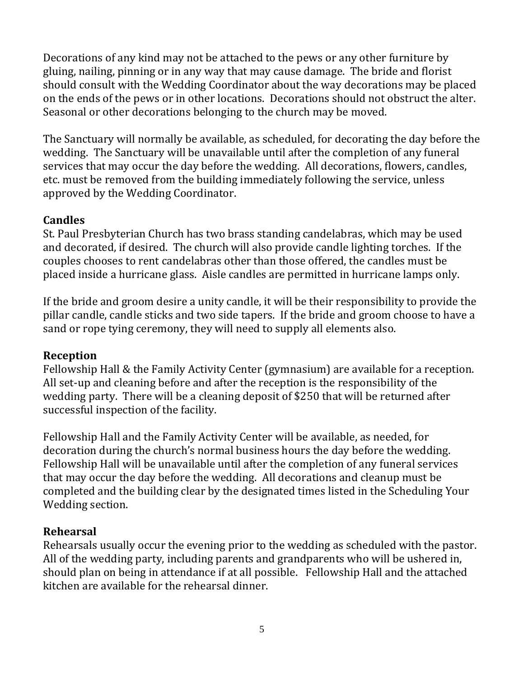Decorations of any kind may not be attached to the pews or any other furniture by gluing, nailing, pinning or in any way that may cause damage. The bride and florist should consult with the Wedding Coordinator about the way decorations may be placed on the ends of the pews or in other locations. Decorations should not obstruct the alter. Seasonal or other decorations belonging to the church may be moved.

The Sanctuary will normally be available, as scheduled, for decorating the day before the wedding. The Sanctuary will be unavailable until after the completion of any funeral services that may occur the day before the wedding. All decorations, flowers, candles, etc. must be removed from the building immediately following the service, unless approved by the Wedding Coordinator.

#### **Candles**

St. Paul Presbyterian Church has two brass standing candelabras, which may be used and decorated, if desired. The church will also provide candle lighting torches. If the couples chooses to rent candelabras other than those offered, the candles must be placed inside a hurricane glass. Aisle candles are permitted in hurricane lamps only.

If the bride and groom desire a unity candle, it will be their responsibility to provide the pillar candle, candle sticks and two side tapers. If the bride and groom choose to have a sand or rope tying ceremony, they will need to supply all elements also.

#### **Reception**

Fellowship Hall & the Family Activity Center (gymnasium) are available for a reception. All set-up and cleaning before and after the reception is the responsibility of the wedding party. There will be a cleaning deposit of \$250 that will be returned after successful inspection of the facility.

Fellowship Hall and the Family Activity Center will be available, as needed, for decoration during the church's normal business hours the day before the wedding. Fellowship Hall will be unavailable until after the completion of any funeral services that may occur the day before the wedding. All decorations and cleanup must be completed and the building clear by the designated times listed in the Scheduling Your Wedding section.

#### **Rehearsal**

Rehearsals usually occur the evening prior to the wedding as scheduled with the pastor. All of the wedding party, including parents and grandparents who will be ushered in, should plan on being in attendance if at all possible. Fellowship Hall and the attached kitchen are available for the rehearsal dinner.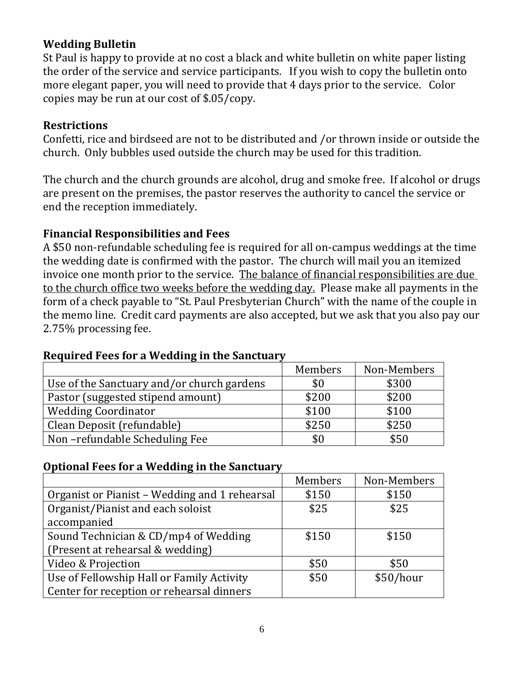## **Wedding Bulletin**

St Paul is happy to provide at no cost a black and white bulletin on white paper listing the order of the service and service participants. If you wish to copy the bulletin onto more elegant paper, you will need to provide that 4 days prior to the service. Color copies may be run at our cost of \$.05/copy.

#### **Restrictions**

Confetti, rice and birdseed are not to be distributed and /or thrown inside or outside the church. Only bubbles used outside the church may be used for this tradition.

The church and the church grounds are alcohol, drug and smoke free. If alcohol or drugs are present on the premises, the pastor reserves the authority to cancel the service or end the reception immediately.

#### **Financial Responsibilities and Fees**

A \$50 non-refundable scheduling fee is required for all on-campus weddings at the time the wedding date is confirmed with the pastor. The church will mail you an itemized invoice one month prior to the service. The balance of financial responsibilities are due to the church office two weeks before the wedding day. Please make all payments in the form of a check payable to "St. Paul Presbyterian Church" with the name of the couple in the memo line. Credit card payments are also accepted, but we ask that you also pay our 2.75% processing fee.

#### **Required Fees for a Wedding in the Sanctuary**

|                                            | Members | Non-Members |
|--------------------------------------------|---------|-------------|
| Use of the Sanctuary and/or church gardens | \$0     | \$300       |
| Pastor (suggested stipend amount)          | \$200   | \$200       |
| <b>Wedding Coordinator</b>                 | \$100   | \$100       |
| Clean Deposit (refundable)                 | \$250   | \$250       |
| Non-refundable Scheduling Fee              | \$0     | \$50        |

#### **Optional Fees for a Wedding in the Sanctuary**

|                                               | Members | Non-Members |
|-----------------------------------------------|---------|-------------|
| Organist or Pianist – Wedding and 1 rehearsal | \$150   | \$150       |
| Organist/Pianist and each soloist             | \$25    | \$25        |
| accompanied                                   |         |             |
| Sound Technician & CD/mp4 of Wedding          | \$150   | \$150       |
| (Present at rehearsal & wedding)              |         |             |
| Video & Projection                            | \$50    | \$50        |
| Use of Fellowship Hall or Family Activity     | \$50    | \$50/hour   |
| Center for reception or rehearsal dinners     |         |             |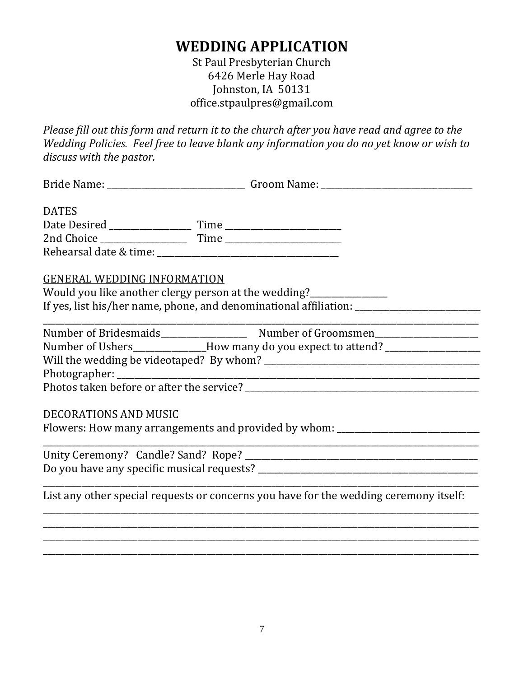## **WEDDING APPLICATION**

St Paul Presbyterian Church 6426 Merle Hay Road Johnston, IA 50131 office.stpaulpres@gmail.com

*Please fill out this form and return it to the church after you have read and agree to the Wedding Policies. Feel free to leave blank any information you do no yet know or wish to discuss with the pastor.*

| <b>DATES</b>                                                                                         |
|------------------------------------------------------------------------------------------------------|
|                                                                                                      |
|                                                                                                      |
|                                                                                                      |
| <b>GENERAL WEDDING INFORMATION</b>                                                                   |
| Would you like another clergy person at the wedding?______________                                   |
| If yes, list his/her name, phone, and denominational affiliation: __________________________________ |
|                                                                                                      |
|                                                                                                      |
| Number of Ushers_____________How many do you expect to attend? _________________                     |
|                                                                                                      |
|                                                                                                      |
|                                                                                                      |
|                                                                                                      |
| DECORATIONS AND MUSIC                                                                                |
| Flowers: How many arrangements and provided by whom: ___________________________                     |
|                                                                                                      |
|                                                                                                      |
|                                                                                                      |
|                                                                                                      |
| List any other special requests or concerns you have for the wedding ceremony itself:                |
|                                                                                                      |
|                                                                                                      |

\_\_\_\_\_\_\_\_\_\_\_\_\_\_\_\_\_\_\_\_\_\_\_\_\_\_\_\_\_\_\_\_\_\_\_\_\_\_\_\_\_\_\_\_\_\_\_\_\_\_\_\_\_\_\_\_\_\_\_\_\_\_\_\_\_\_\_\_\_\_\_\_\_\_\_\_\_\_\_\_\_\_\_\_\_\_\_\_\_\_\_\_\_\_\_\_\_\_\_\_\_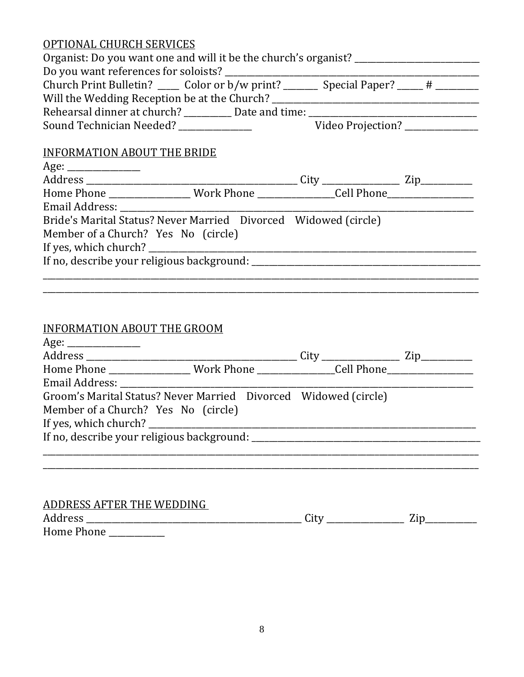## OPTIONAL CHURCH SERVICES

| Organist: Do you want one and will it be the church's organist?                             |  |
|---------------------------------------------------------------------------------------------|--|
|                                                                                             |  |
| Church Print Bulletin? ______ Color or b/w print? _________ Special Paper? _____ # ________ |  |
| Will the Wedding Reception be at the Church? ___________________________________            |  |
| Rehearsal dinner at church? __________ Date and time: ___________________________           |  |
|                                                                                             |  |
| <b>INFORMATION ABOUT THE BRIDE</b>                                                          |  |
|                                                                                             |  |
|                                                                                             |  |
|                                                                                             |  |
|                                                                                             |  |
| Bride's Marital Status? Never Married Divorced Widowed (circle)                             |  |
| Member of a Church? Yes No (circle)                                                         |  |
|                                                                                             |  |
|                                                                                             |  |
|                                                                                             |  |
|                                                                                             |  |
|                                                                                             |  |

## INFORMATION ABOUT THE GROOM

| Home Phone ________________ Work Phone __________________Cell Phone _____________ |  |  |
|-----------------------------------------------------------------------------------|--|--|
|                                                                                   |  |  |
| Groom's Marital Status? Never Married Divorced Widowed (circle)                   |  |  |
| Member of a Church? Yes No (circle)                                               |  |  |
|                                                                                   |  |  |
|                                                                                   |  |  |
|                                                                                   |  |  |
|                                                                                   |  |  |
|                                                                                   |  |  |
|                                                                                   |  |  |
| ADDRESS AFTER THE WEDDING                                                         |  |  |

| Address    | $\mathbf{H}$<br>uit |  |
|------------|---------------------|--|
| Home Phone |                     |  |